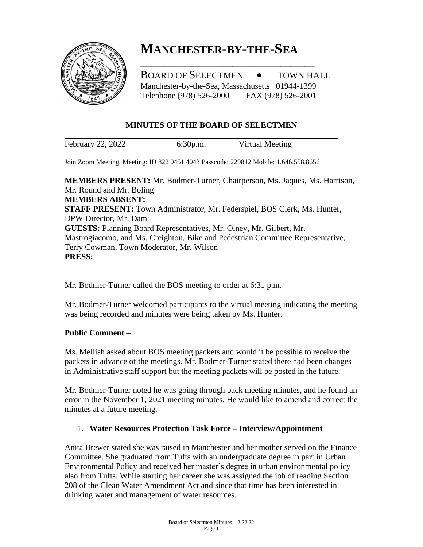

# **MANCHESTER-BY-THE-SEA**

\_\_\_\_\_\_\_\_\_\_\_\_\_\_\_\_\_\_\_\_\_\_\_\_\_\_\_\_\_\_\_\_\_\_\_\_

BOARD OF SELECTMEN  $\bullet$  TOWN HALL Manchester-by-the-Sea, Massachusetts 01944-1399 Telephone (978) 526-2000 FAX (978) 526-2001

## **MINUTES OF THE BOARD OF SELECTMEN**

February 22, 2022 6:30p.m. Virtual Meeting

Join Zoom Meeting, Meeting: ID 822 0451 4043 Passcode: 229812 Mobile: 1.646.558.8656

**MEMBERS PRESENT:** Mr. Bodmer-Turner, Chairperson, Ms. Jaques, Ms. Harrison, Mr. Round and Mr. Boling **MEMBERS ABSENT: STAFF PRESENT:** Town Administrator, Mr. Federspiel, BOS Clerk, Ms. Hunter, DPW Director, Mr. Dam **GUESTS:** Planning Board Representatives, Mr. Olney, Mr. Gilbert, Mr. Mastrogiacomo, and Ms. Creighton, Bike and Pedestrian Committee Representative, Terry Cowman, Town Moderator, Mr. Wilson **PRESS:**

Mr. Bodmer-Turner called the BOS meeting to order at 6:31 p.m.

Mr. Bodmer-Turner welcomed participants to the virtual meeting indicating the meeting was being recorded and minutes were being taken by Ms. Hunter.

## **Public Comment –**

Ms. Mellish asked about BOS meeting packets and would it be possible to receive the packets in advance of the meetings. Mr. Bodmer-Turner stated there had been changes in Administrative staff support but the meeting packets will be posted in the future.

Mr. Bodmer-Turner noted he was going through back meeting minutes, and he found an error in the November 1, 2021 meeting minutes. He would like to amend and correct the minutes at a future meeting.

## 1. **Water Resources Protection Task Force – Interview/Appointment**

Anita Brewer stated she was raised in Manchester and her mother served on the Finance Committee. She graduated from Tufts with an undergraduate degree in part in Urban Environmental Policy and received her master's degree in urban environmental policy also from Tufts. While starting her career she was assigned the job of reading Section 208 of the Clean Water Amendment Act and since that time has been interested in drinking water and management of water resources.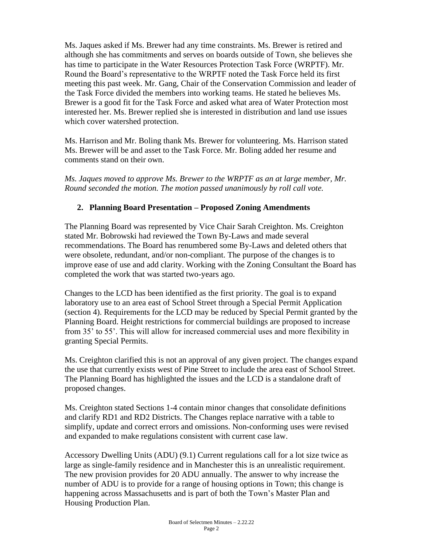Ms. Jaques asked if Ms. Brewer had any time constraints. Ms. Brewer is retired and although she has commitments and serves on boards outside of Town, she believes she has time to participate in the Water Resources Protection Task Force (WRPTF). Mr. Round the Board's representative to the WRPTF noted the Task Force held its first meeting this past week. Mr. Gang, Chair of the Conservation Commission and leader of the Task Force divided the members into working teams. He stated he believes Ms. Brewer is a good fit for the Task Force and asked what area of Water Protection most interested her. Ms. Brewer replied she is interested in distribution and land use issues which cover watershed protection.

Ms. Harrison and Mr. Boling thank Ms. Brewer for volunteering. Ms. Harrison stated Ms. Brewer will be and asset to the Task Force. Mr. Boling added her resume and comments stand on their own.

*Ms. Jaques moved to approve Ms. Brewer to the WRPTF as an at large member, Mr. Round seconded the motion. The motion passed unanimously by roll call vote.*

# **2. Planning Board Presentation – Proposed Zoning Amendments**

The Planning Board was represented by Vice Chair Sarah Creighton. Ms. Creighton stated Mr. Bobrowski had reviewed the Town By-Laws and made several recommendations. The Board has renumbered some By-Laws and deleted others that were obsolete, redundant, and/or non-compliant. The purpose of the changes is to improve ease of use and add clarity. Working with the Zoning Consultant the Board has completed the work that was started two-years ago.

Changes to the LCD has been identified as the first priority. The goal is to expand laboratory use to an area east of School Street through a Special Permit Application (section 4). Requirements for the LCD may be reduced by Special Permit granted by the Planning Board. Height restrictions for commercial buildings are proposed to increase from 35' to 55'. This will allow for increased commercial uses and more flexibility in granting Special Permits.

Ms. Creighton clarified this is not an approval of any given project. The changes expand the use that currently exists west of Pine Street to include the area east of School Street. The Planning Board has highlighted the issues and the LCD is a standalone draft of proposed changes.

Ms. Creighton stated Sections 1-4 contain minor changes that consolidate definitions and clarify RD1 and RD2 Districts. The Changes replace narrative with a table to simplify, update and correct errors and omissions. Non-conforming uses were revised and expanded to make regulations consistent with current case law.

Accessory Dwelling Units (ADU) (9.1) Current regulations call for a lot size twice as large as single-family residence and in Manchester this is an unrealistic requirement. The new provision provides for 20 ADU annually. The answer to why increase the number of ADU is to provide for a range of housing options in Town; this change is happening across Massachusetts and is part of both the Town's Master Plan and Housing Production Plan.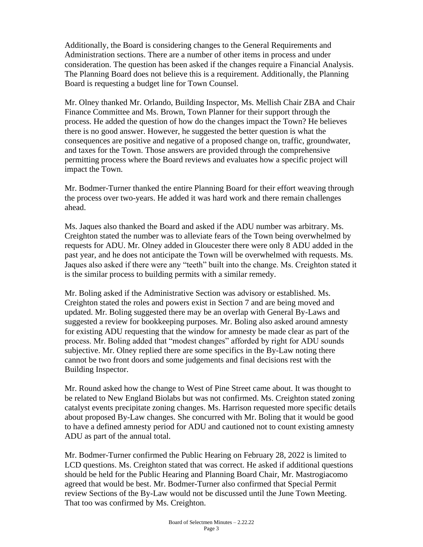Additionally, the Board is considering changes to the General Requirements and Administration sections. There are a number of other items in process and under consideration. The question has been asked if the changes require a Financial Analysis. The Planning Board does not believe this is a requirement. Additionally, the Planning Board is requesting a budget line for Town Counsel.

Mr. Olney thanked Mr. Orlando, Building Inspector, Ms. Mellish Chair ZBA and Chair Finance Committee and Ms. Brown, Town Planner for their support through the process. He added the question of how do the changes impact the Town? He believes there is no good answer. However, he suggested the better question is what the consequences are positive and negative of a proposed change on, traffic, groundwater, and taxes for the Town. Those answers are provided through the comprehensive permitting process where the Board reviews and evaluates how a specific project will impact the Town.

Mr. Bodmer-Turner thanked the entire Planning Board for their effort weaving through the process over two-years. He added it was hard work and there remain challenges ahead.

Ms. Jaques also thanked the Board and asked if the ADU number was arbitrary. Ms. Creighton stated the number was to alleviate fears of the Town being overwhelmed by requests for ADU. Mr. Olney added in Gloucester there were only 8 ADU added in the past year, and he does not anticipate the Town will be overwhelmed with requests. Ms. Jaques also asked if there were any "teeth" built into the change. Ms. Creighton stated it is the similar process to building permits with a similar remedy.

Mr. Boling asked if the Administrative Section was advisory or established. Ms. Creighton stated the roles and powers exist in Section 7 and are being moved and updated. Mr. Boling suggested there may be an overlap with General By-Laws and suggested a review for bookkeeping purposes. Mr. Boling also asked around amnesty for existing ADU requesting that the window for amnesty be made clear as part of the process. Mr. Boling added that "modest changes" afforded by right for ADU sounds subjective. Mr. Olney replied there are some specifics in the By-Law noting there cannot be two front doors and some judgements and final decisions rest with the Building Inspector.

Mr. Round asked how the change to West of Pine Street came about. It was thought to be related to New England Biolabs but was not confirmed. Ms. Creighton stated zoning catalyst events precipitate zoning changes. Ms. Harrison requested more specific details about proposed By-Law changes. She concurred with Mr. Boling that it would be good to have a defined amnesty period for ADU and cautioned not to count existing amnesty ADU as part of the annual total.

Mr. Bodmer-Turner confirmed the Public Hearing on February 28, 2022 is limited to LCD questions. Ms. Creighton stated that was correct. He asked if additional questions should be held for the Public Hearing and Planning Board Chair, Mr. Mastrogiacomo agreed that would be best. Mr. Bodmer-Turner also confirmed that Special Permit review Sections of the By-Law would not be discussed until the June Town Meeting. That too was confirmed by Ms. Creighton.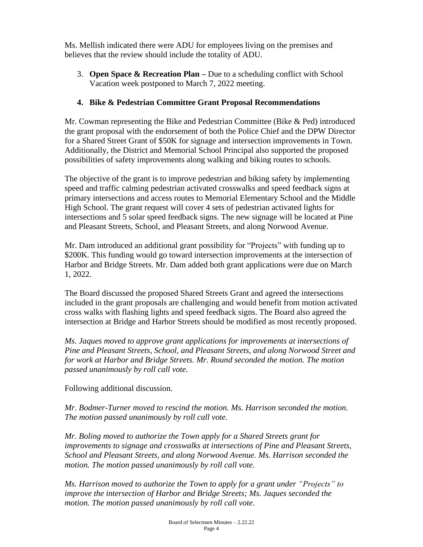Ms. Mellish indicated there were ADU for employees living on the premises and believes that the review should include the totality of ADU.

3. **Open Space & Recreation Plan –** Due to a scheduling conflict with School Vacation week postponed to March 7, 2022 meeting.

# **4. Bike & Pedestrian Committee Grant Proposal Recommendations**

Mr. Cowman representing the Bike and Pedestrian Committee (Bike & Ped) introduced the grant proposal with the endorsement of both the Police Chief and the DPW Director for a Shared Street Grant of \$50K for signage and intersection improvements in Town. Additionally, the District and Memorial School Principal also supported the proposed possibilities of safety improvements along walking and biking routes to schools.

The objective of the grant is to improve pedestrian and biking safety by implementing speed and traffic calming pedestrian activated crosswalks and speed feedback signs at primary intersections and access routes to Memorial Elementary School and the Middle High School. The grant request will cover 4 sets of pedestrian activated lights for intersections and 5 solar speed feedback signs. The new signage will be located at Pine and Pleasant Streets, School, and Pleasant Streets, and along Norwood Avenue.

Mr. Dam introduced an additional grant possibility for "Projects" with funding up to \$200K. This funding would go toward intersection improvements at the intersection of Harbor and Bridge Streets. Mr. Dam added both grant applications were due on March 1, 2022.

The Board discussed the proposed Shared Streets Grant and agreed the intersections included in the grant proposals are challenging and would benefit from motion activated cross walks with flashing lights and speed feedback signs. The Board also agreed the intersection at Bridge and Harbor Streets should be modified as most recently proposed.

*Ms. Jaques moved to approve grant applications for improvements at intersections of Pine and Pleasant Streets, School, and Pleasant Streets, and along Norwood Street and for work at Harbor and Bridge Streets. Mr. Round seconded the motion. The motion passed unanimously by roll call vote.*

Following additional discussion.

*Mr. Bodmer-Turner moved to rescind the motion. Ms. Harrison seconded the motion. The motion passed unanimously by roll call vote.*

*Mr. Boling moved to authorize the Town apply for a Shared Streets grant for improvements to signage and crosswalks at intersections of Pine and Pleasant Streets, School and Pleasant Streets, and along Norwood Avenue. Ms. Harrison seconded the motion. The motion passed unanimously by roll call vote.*

*Ms. Harrison moved to authorize the Town to apply for a grant under "Projects" to improve the intersection of Harbor and Bridge Streets; Ms. Jaques seconded the motion. The motion passed unanimously by roll call vote.*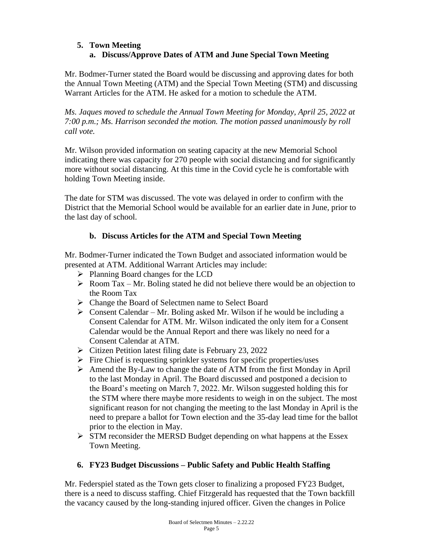# **5. Town Meeting a. Discuss/Approve Dates of ATM and June Special Town Meeting**

Mr. Bodmer-Turner stated the Board would be discussing and approving dates for both the Annual Town Meeting (ATM) and the Special Town Meeting (STM) and discussing Warrant Articles for the ATM. He asked for a motion to schedule the ATM.

*Ms. Jaques moved to schedule the Annual Town Meeting for Monday, April 25, 2022 at 7:00 p.m.; Ms. Harrison seconded the motion. The motion passed unanimously by roll call vote.*

Mr. Wilson provided information on seating capacity at the new Memorial School indicating there was capacity for 270 people with social distancing and for significantly more without social distancing. At this time in the Covid cycle he is comfortable with holding Town Meeting inside.

The date for STM was discussed. The vote was delayed in order to confirm with the District that the Memorial School would be available for an earlier date in June, prior to the last day of school.

# **b. Discuss Articles for the ATM and Special Town Meeting**

Mr. Bodmer-Turner indicated the Town Budget and associated information would be presented at ATM. Additional Warrant Articles may include:

- ➢ Planning Board changes for the LCD
- $\triangleright$  Room Tax Mr. Boling stated he did not believe there would be an objection to the Room Tax
- ➢ Change the Board of Selectmen name to Select Board
- $\triangleright$  Consent Calendar Mr. Boling asked Mr. Wilson if he would be including a Consent Calendar for ATM. Mr. Wilson indicated the only item for a Consent Calendar would be the Annual Report and there was likely no need for a Consent Calendar at ATM.
- ➢ Citizen Petition latest filing date is February 23, 2022
- $\triangleright$  Fire Chief is requesting sprinkler systems for specific properties/uses
- ➢ Amend the By-Law to change the date of ATM from the first Monday in April to the last Monday in April. The Board discussed and postponed a decision to the Board's meeting on March 7, 2022. Mr. Wilson suggested holding this for the STM where there maybe more residents to weigh in on the subject. The most significant reason for not changing the meeting to the last Monday in April is the need to prepare a ballot for Town election and the 35-day lead time for the ballot prior to the election in May.
- ➢ STM reconsider the MERSD Budget depending on what happens at the Essex Town Meeting.

# **6. FY23 Budget Discussions – Public Safety and Public Health Staffing**

Mr. Federspiel stated as the Town gets closer to finalizing a proposed FY23 Budget, there is a need to discuss staffing. Chief Fitzgerald has requested that the Town backfill the vacancy caused by the long-standing injured officer. Given the changes in Police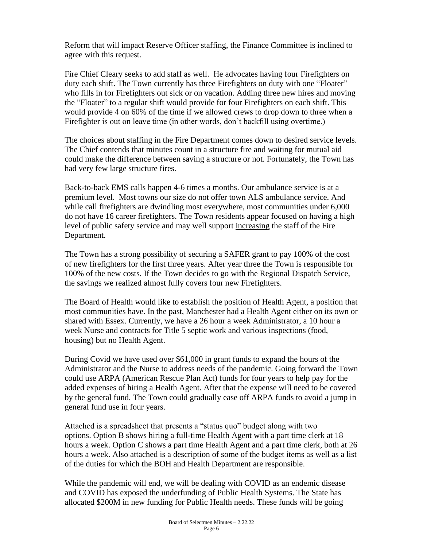Reform that will impact Reserve Officer staffing, the Finance Committee is inclined to agree with this request.

Fire Chief Cleary seeks to add staff as well. He advocates having four Firefighters on duty each shift. The Town currently has three Firefighters on duty with one "Floater" who fills in for Firefighters out sick or on vacation. Adding three new hires and moving the "Floater" to a regular shift would provide for four Firefighters on each shift. This would provide 4 on 60% of the time if we allowed crews to drop down to three when a Firefighter is out on leave time (in other words, don't backfill using overtime.)

The choices about staffing in the Fire Department comes down to desired service levels. The Chief contends that minutes count in a structure fire and waiting for mutual aid could make the difference between saving a structure or not. Fortunately, the Town has had very few large structure fires.

Back-to-back EMS calls happen 4-6 times a months. Our ambulance service is at a premium level. Most towns our size do not offer town ALS ambulance service. And while call firefighters are dwindling most everywhere, most communities under 6,000 do not have 16 career firefighters. The Town residents appear focused on having a high level of public safety service and may well support increasing the staff of the Fire Department.

The Town has a strong possibility of securing a SAFER grant to pay 100% of the cost of new firefighters for the first three years. After year three the Town is responsible for 100% of the new costs. If the Town decides to go with the Regional Dispatch Service, the savings we realized almost fully covers four new Firefighters.

The Board of Health would like to establish the position of Health Agent, a position that most communities have. In the past, Manchester had a Health Agent either on its own or shared with Essex. Currently, we have a 26 hour a week Administrator, a 10 hour a week Nurse and contracts for Title 5 septic work and various inspections (food, housing) but no Health Agent.

During Covid we have used over \$61,000 in grant funds to expand the hours of the Administrator and the Nurse to address needs of the pandemic. Going forward the Town could use ARPA (American Rescue Plan Act) funds for four years to help pay for the added expenses of hiring a Health Agent. After that the expense will need to be covered by the general fund. The Town could gradually ease off ARPA funds to avoid a jump in general fund use in four years.

Attached is a spreadsheet that presents a "status quo" budget along with two options. Option B shows hiring a full-time Health Agent with a part time clerk at 18 hours a week. Option C shows a part time Health Agent and a part time clerk, both at 26 hours a week. Also attached is a description of some of the budget items as well as a list of the duties for which the BOH and Health Department are responsible.

While the pandemic will end, we will be dealing with COVID as an endemic disease and COVID has exposed the underfunding of Public Health Systems. The State has allocated \$200M in new funding for Public Health needs. These funds will be going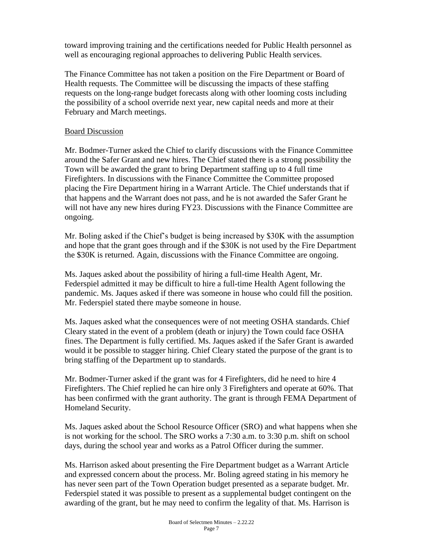toward improving training and the certifications needed for Public Health personnel as well as encouraging regional approaches to delivering Public Health services.

The Finance Committee has not taken a position on the Fire Department or Board of Health requests. The Committee will be discussing the impacts of these staffing requests on the long-range budget forecasts along with other looming costs including the possibility of a school override next year, new capital needs and more at their February and March meetings.

## Board Discussion

Mr. Bodmer-Turner asked the Chief to clarify discussions with the Finance Committee around the Safer Grant and new hires. The Chief stated there is a strong possibility the Town will be awarded the grant to bring Department staffing up to 4 full time Firefighters. In discussions with the Finance Committee the Committee proposed placing the Fire Department hiring in a Warrant Article. The Chief understands that if that happens and the Warrant does not pass, and he is not awarded the Safer Grant he will not have any new hires during FY23. Discussions with the Finance Committee are ongoing.

Mr. Boling asked if the Chief's budget is being increased by \$30K with the assumption and hope that the grant goes through and if the \$30K is not used by the Fire Department the \$30K is returned. Again, discussions with the Finance Committee are ongoing.

Ms. Jaques asked about the possibility of hiring a full-time Health Agent, Mr. Federspiel admitted it may be difficult to hire a full-time Health Agent following the pandemic. Ms. Jaques asked if there was someone in house who could fill the position. Mr. Federspiel stated there maybe someone in house.

Ms. Jaques asked what the consequences were of not meeting OSHA standards. Chief Cleary stated in the event of a problem (death or injury) the Town could face OSHA fines. The Department is fully certified. Ms. Jaques asked if the Safer Grant is awarded would it be possible to stagger hiring. Chief Cleary stated the purpose of the grant is to bring staffing of the Department up to standards.

Mr. Bodmer-Turner asked if the grant was for 4 Firefighters, did he need to hire 4 Firefighters. The Chief replied he can hire only 3 Firefighters and operate at 60%. That has been confirmed with the grant authority. The grant is through FEMA Department of Homeland Security.

Ms. Jaques asked about the School Resource Officer (SRO) and what happens when she is not working for the school. The SRO works a 7:30 a.m. to 3:30 p.m. shift on school days, during the school year and works as a Patrol Officer during the summer.

Ms. Harrison asked about presenting the Fire Department budget as a Warrant Article and expressed concern about the process. Mr. Boling agreed stating in his memory he has never seen part of the Town Operation budget presented as a separate budget. Mr. Federspiel stated it was possible to present as a supplemental budget contingent on the awarding of the grant, but he may need to confirm the legality of that. Ms. Harrison is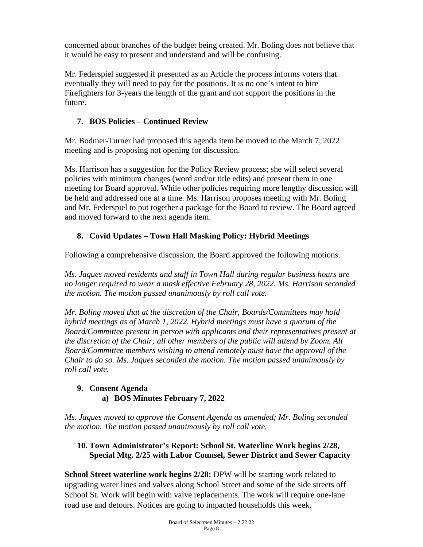concerned about branches of the budget being created. Mr. Boling does not believe that it would be easy to present and understand and will be confusing.

Mr. Federspiel suggested if presented as an Article the process informs voters that eventually they will need to pay for the positions. It is no one's intent to hire Firefighters for 3-years the length of the grant and not support the positions in the future.

# **7. BOS Policies – Continued Review**

Mr. Bodmer-Turner had proposed this agenda item be moved to the March 7, 2022 meeting and is proposing not opening for discussion.

Ms. Harrison has a suggestion for the Policy Review process; she will select several policies with minimum changes (word and/or title edits) and present them in one meeting for Board approval. While other policies requiring more lengthy discussion will be held and addressed one at a time. Ms. Harrison proposes meeting with Mr. Boling and Mr. Federspiel to put together a package for the Board to review. The Board agreed and moved forward to the next agenda item.

# **8. Covid Updates – Town Hall Masking Policy: Hybrid Meetings**

Following a comprehensive discussion, the Board approved the following motions.

*Ms. Jaques moved residents and staff in Town Hall during regular business hours are no longer required to wear a mask effective February 28, 2022. Ms. Harrison seconded the motion. The motion passed unanimously by roll call vote.*

*Mr. Boling moved that at the discretion of the Chair, Boards/Committees may hold hybrid meetings as of March 1, 2022. Hybrid meetings must have a quorum of the Board/Committee present in person with applicants and their representatives present at the discretion of the Chair; all other members of the public will attend by Zoom. All Board/Committee members wishing to attend remotely must have the approval of the Chair to do so. Ms. Jaques seconded the motion. The motion passed unanimously by roll call vote.* 

# **9. Consent Agenda a) BOS Minutes February 7, 2022**

*Ms. Jaques moved to approve the Consent Agenda as amended; Mr. Boling seconded the motion. The motion passed unanimously by roll call vote.*

# **10. Town Administrator's Report: School St. Waterline Work begins 2/28, Special Mtg. 2/25 with Labor Counsel, Sewer District and Sewer Capacity**

**School Street waterline work begins 2/28:** DPW will be starting work related to upgrading water lines and valves along School Street and some of the side streets off School St. Work will begin with valve replacements. The work will require one-lane road use and detours. Notices are going to impacted households this week.